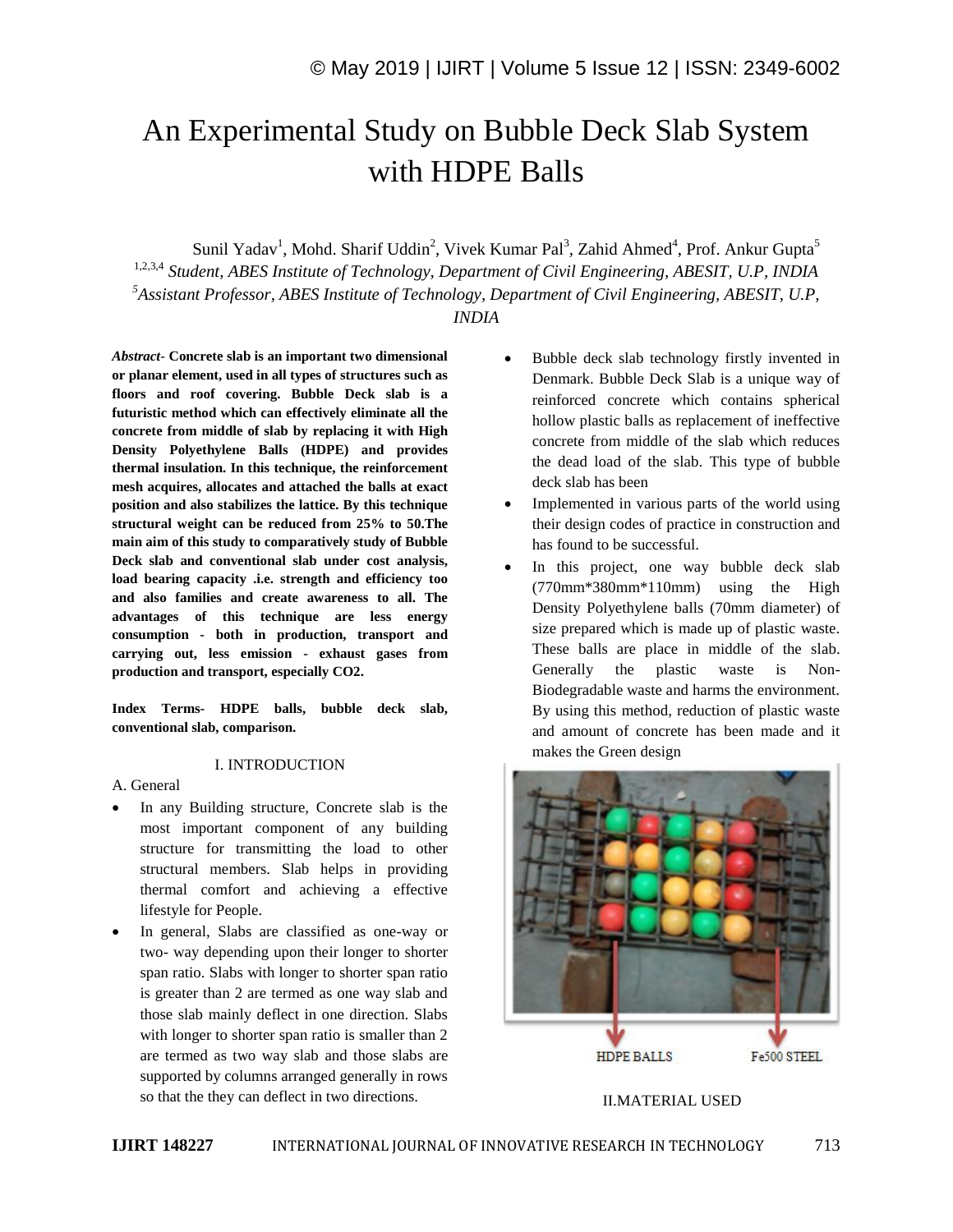# An Experimental Study on Bubble Deck Slab System with HDPE Balls

Sunil Yadav<sup>1</sup>, Mohd. Sharif Uddin<sup>2</sup>, Vivek Kumar Pal<sup>3</sup>, Zahid Ahmed<sup>4</sup>, Prof. Ankur Gupta<sup>5</sup> 1,2,3,4 *Student, ABES Institute of Technology, Department of Civil Engineering, ABESIT, U.P, INDIA <sup>5</sup>Assistant Professor, ABES Institute of Technology, Department of Civil Engineering, ABESIT, U.P, INDIA*

*Abstract*- **Concrete slab is an important two dimensional or planar element, used in all types of structures such as floors and roof covering. Bubble Deck slab is a futuristic method which can effectively eliminate all the concrete from middle of slab by replacing it with High Density Polyethylene Balls (HDPE) and provides thermal insulation. In this technique, the reinforcement mesh acquires, allocates and attached the balls at exact position and also stabilizes the lattice. By this technique structural weight can be reduced from 25% to 50.The main aim of this study to comparatively study of Bubble Deck slab and conventional slab under cost analysis, load bearing capacity .i.e. strength and efficiency too and also families and create awareness to all. The advantages of this technique are less energy consumption - both in production, transport and carrying out, less emission - exhaust gases from production and transport, especially CO2.**

**Index Terms- HDPE balls, bubble deck slab, conventional slab, comparison.**

#### I. INTRODUCTION

#### A. General

- In any Building structure, Concrete slab is the most important component of any building structure for transmitting the load to other structural members. Slab helps in providing thermal comfort and achieving a effective lifestyle for People.
- In general, Slabs are classified as one-way or two- way depending upon their longer to shorter span ratio. Slabs with longer to shorter span ratio is greater than 2 are termed as one way slab and those slab mainly deflect in one direction. Slabs with longer to shorter span ratio is smaller than 2 are termed as two way slab and those slabs are supported by columns arranged generally in rows so that the they can deflect in two directions.
- Bubble deck slab technology firstly invented in Denmark. Bubble Deck Slab is a unique way of reinforced concrete which contains spherical hollow plastic balls as replacement of ineffective concrete from middle of the slab which reduces the dead load of the slab. This type of bubble deck slab has been
- Implemented in various parts of the world using their design codes of practice in construction and has found to be successful.
- In this project, one way bubble deck slab (770mm\*380mm\*110mm) using the High Density Polyethylene balls (70mm diameter) of size prepared which is made up of plastic waste. These balls are place in middle of the slab. Generally the plastic waste is Non-Biodegradable waste and harms the environment. By using this method, reduction of plastic waste and amount of concrete has been made and it makes the Green design



#### II.MATERIAL USED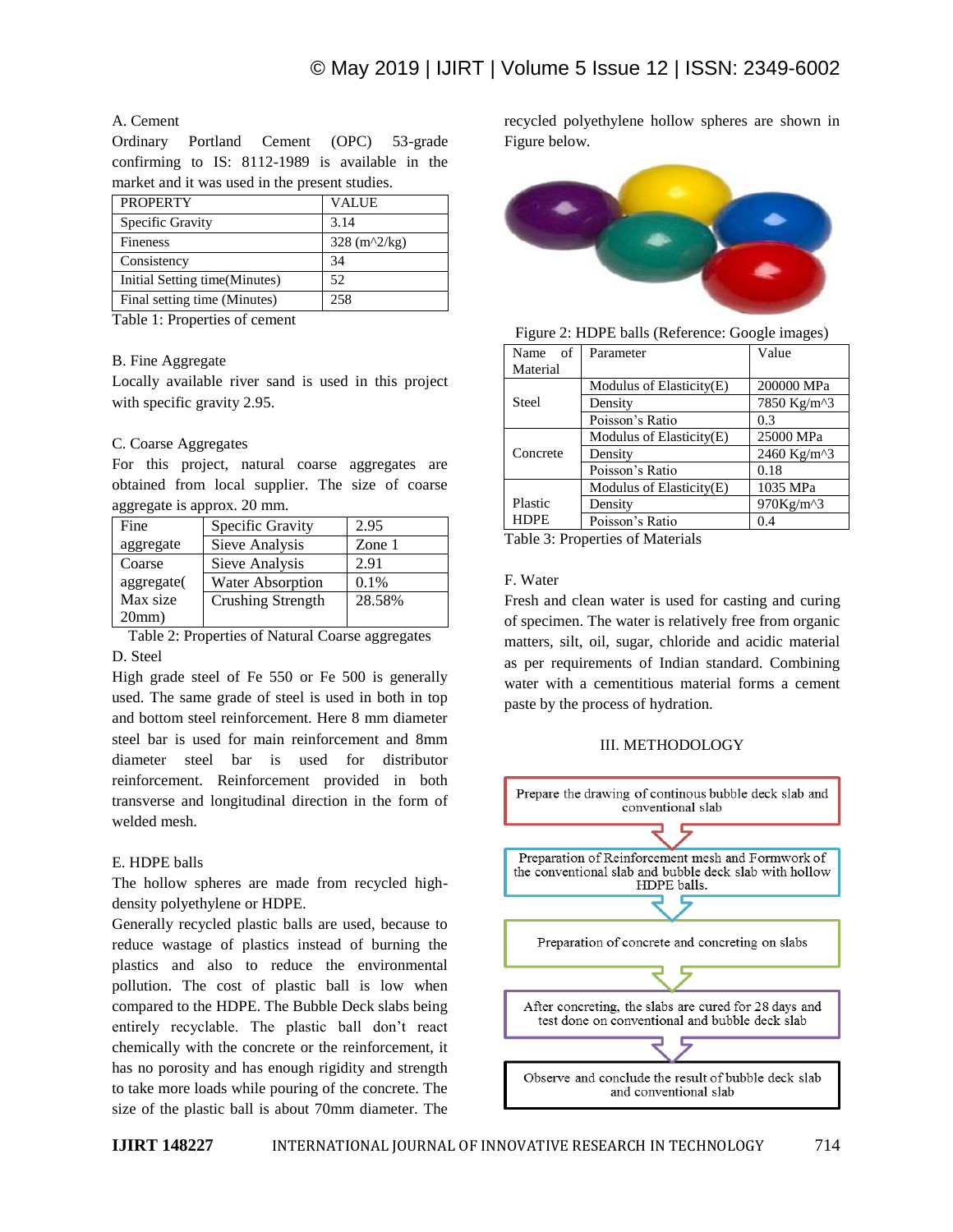## A. Cement

Ordinary Portland Cement (OPC) 53-grade confirming to IS: 8112-1989 is available in the market and it was used in the present studies.

| <b>PROPERTY</b>               | <b>VALUE</b>             |
|-------------------------------|--------------------------|
| Specific Gravity              | 3.14                     |
| Fineness                      | $328 \frac{ (m^2)}{ kg}$ |
| Consistency                   | 34                       |
| Initial Setting time(Minutes) | 52                       |
| Final setting time (Minutes)  | 258                      |

Table 1: Properties of cement

#### B. Fine Aggregate

Locally available river sand is used in this project with specific gravity 2.95.

#### C. Coarse Aggregates

For this project, natural coarse aggregates are obtained from local supplier. The size of coarse aggregate is approx. 20 mm.

| Fine       | Specific Gravity        | 2.95    |
|------------|-------------------------|---------|
| aggregate  | Sieve Analysis          | Zone 1  |
| Coarse     | Sieve Analysis          | 2.91    |
| aggregate( | <b>Water Absorption</b> | $0.1\%$ |
| Max size   | Crushing Strength       | 28.58%  |
| 20mm       |                         |         |

Table 2: Properties of Natural Coarse aggregates D. Steel

High grade steel of Fe 550 or Fe 500 is generally used. The same grade of steel is used in both in top and bottom steel reinforcement. Here 8 mm diameter steel bar is used for main reinforcement and 8mm diameter steel bar is used for distributor reinforcement. Reinforcement provided in both transverse and longitudinal direction in the form of welded mesh.

#### E. HDPE balls

The hollow spheres are made from recycled highdensity polyethylene or HDPE.

Generally recycled plastic balls are used, because to reduce wastage of plastics instead of burning the plastics and also to reduce the environmental pollution. The cost of plastic ball is low when compared to the HDPE. The Bubble Deck slabs being entirely recyclable. The plastic ball don't react chemically with the concrete or the reinforcement, it has no porosity and has enough rigidity and strength to take more loads while pouring of the concrete. The size of the plastic ball is about 70mm diameter. The

recycled polyethylene hollow spheres are shown in Figure below.



| Figure 2: HDPE balls (Reference: Google images) |  |  |
|-------------------------------------------------|--|--|
|                                                 |  |  |

| Name of     | Parameter                | Value       |
|-------------|--------------------------|-------------|
| Material    |                          |             |
|             | Modulus of Elasticity(E) | 200000 MPa  |
| Steel       | Density                  | 7850 Kg/m^3 |
|             | Poisson's Ratio          | 0.3         |
|             | Modulus of Elasticity(E) | 25000 MPa   |
| Concrete    | Density                  | 2460 Kg/m^3 |
|             | Poisson's Ratio          | 0.18        |
|             | Modulus of Elasticity(E) | 1035 MPa    |
| Plastic     | Density                  | 970Kg/m^3   |
| <b>HDPE</b> | Poisson's Ratio          | 0.4         |

Table 3: Properties of Materials

#### F. Water

Fresh and clean water is used for casting and curing of specimen. The water is relatively free from organic matters, silt, oil, sugar, chloride and acidic material as per requirements of Indian standard. Combining water with a cementitious material forms a cement paste by the process of hydration.

#### III. METHODOLOGY

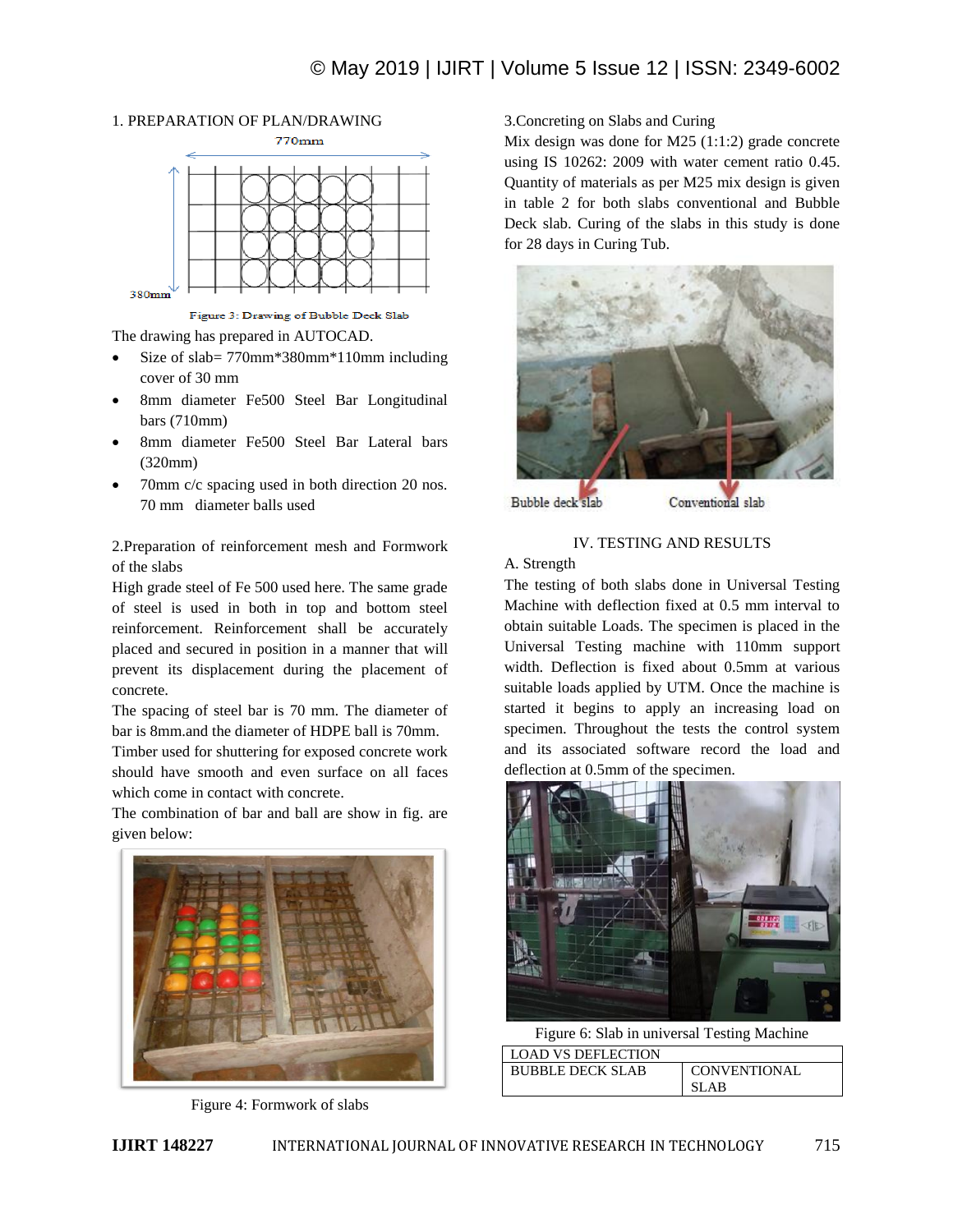# 1. PREPARATION OF PLAN/DRAWING



Figure 3: Drawing of Bubble Deck Slab

The drawing has prepared in AUTOCAD.

- Size of slab= 770mm\*380mm\*110mm including cover of 30 mm
- 8mm diameter Fe500 Steel Bar Longitudinal bars (710mm)
- 8mm diameter Fe500 Steel Bar Lateral bars (320mm)
- 70mm c/c spacing used in both direction 20 nos. 70 mm diameter balls used

2.Preparation of reinforcement mesh and Formwork of the slabs

High grade steel of Fe 500 used here. The same grade of steel is used in both in top and bottom steel reinforcement. Reinforcement shall be accurately placed and secured in position in a manner that will prevent its displacement during the placement of concrete.

The spacing of steel bar is 70 mm. The diameter of bar is 8mm.and the diameter of HDPE ball is 70mm.

Timber used for shuttering for exposed concrete work should have smooth and even surface on all faces which come in contact with concrete.

The combination of bar and ball are show in fig. are given below:



Figure 4: Formwork of slabs

3.Concreting on Slabs and Curing

Mix design was done for M25 (1:1:2) grade concrete using IS 10262: 2009 with water cement ratio 0.45. Quantity of materials as per M25 mix design is given in table 2 for both slabs conventional and Bubble Deck slab. Curing of the slabs in this study is done for 28 days in Curing Tub.



Bubble deck slab

Conventional slab

## IV. TESTING AND RESULTS

A. Strength

The testing of both slabs done in Universal Testing Machine with deflection fixed at 0.5 mm interval to obtain suitable Loads. The specimen is placed in the Universal Testing machine with 110mm support width. Deflection is fixed about 0.5mm at various suitable loads applied by UTM. Once the machine is started it begins to apply an increasing load on specimen. Throughout the tests the control system and its associated software record the load and deflection at 0.5mm of the specimen.



Figure 6: Slab in universal Testing Machine LOAD VS DEFLECTION

| LUAD VS DEFLECTION      |              |
|-------------------------|--------------|
| <b>BUBBLE DECK SLAB</b> | CONVENTIONAL |
|                         | SLAB         |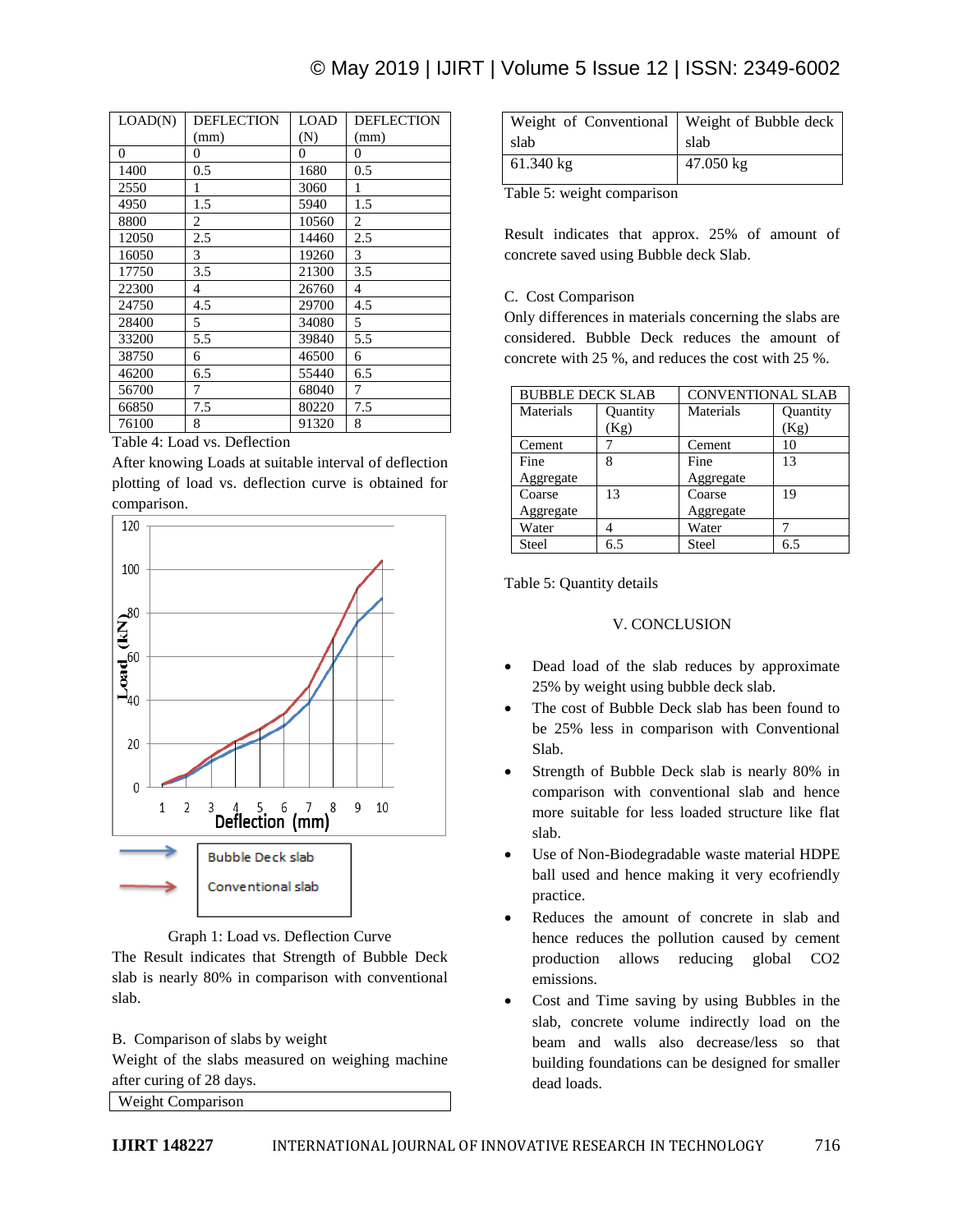# © May 2019 | IJIRT | Volume 5 Issue 12 | ISSN: 2349-6002

| LOAD(N)        | DEFLECTION | LOAD  | DEFLECTION     |
|----------------|------------|-------|----------------|
|                | (mm)       | (N)   | (mm)           |
| $\overline{0}$ | 0          | 0     | $\overline{0}$ |
| 1400           | 0.5        | 1680  | 0.5            |
| 2550           | 1          | 3060  | 1              |
| 4950           | 1.5        | 5940  | 1.5            |
| 8800           | 2          | 10560 | 2              |
| 12050          | 2.5        | 14460 | 2.5            |
| 16050          | 3          | 19260 | 3              |
| 17750          | 3.5        | 21300 | 3.5            |
| 22300          | 4          | 26760 | 4              |
| 24750          | 4.5        | 29700 | 4.5            |
| 28400          | 5          | 34080 | 5              |
| 33200          | 5.5        | 39840 | 5.5            |
| 38750          | 6          | 46500 | 6              |
| 46200          | 6.5        | 55440 | 6.5            |
| 56700          | 7          | 68040 | 7              |
| 66850          | 7.5        | 80220 | 7.5            |
| 76100          | 8          | 91320 | 8              |

# Table 4: Load vs. Deflection

After knowing Loads at suitable interval of deflection plotting of load vs. deflection curve is obtained for comparison.



Graph 1: Load vs. Deflection Curve

The Result indicates that Strength of Bubble Deck slab is nearly 80% in comparison with conventional slab.

#### B. Comparison of slabs by weight

Weight of the slabs measured on weighing machine after curing of 28 days.

Weight Comparison

| Weight of Conventional   Weight of Bubble deck |           |
|------------------------------------------------|-----------|
| slab                                           | slab      |
| $61.340 \text{ kg}$                            | 47.050 kg |

Table 5: weight comparison

Result indicates that approx. 25% of amount of concrete saved using Bubble deck Slab.

#### C. Cost Comparison

Only differences in materials concerning the slabs are considered. Bubble Deck reduces the amount of concrete with 25 %, and reduces the cost with 25 %.

| <b>BUBBLE DECK SLAB</b> |          | <b>CONVENTIONAL SLAB</b> |          |
|-------------------------|----------|--------------------------|----------|
| Materials               | Quantity | Materials                | Quantity |
|                         | (Kg)     |                          | (Kg)     |
| Cement                  |          | Cement                   | 10       |
| Fine                    | 8        | Fine                     | 13       |
| Aggregate               |          | Aggregate                |          |
| Coarse                  | 13       | Coarse                   | 19       |
| Aggregate               |          | Aggregate                |          |
| Water                   |          | Water                    |          |
| Steel                   | 6 ና      | Steel                    | 6.5      |

Table 5: Quantity details

#### V. CONCLUSION

- Dead load of the slab reduces by approximate 25% by weight using bubble deck slab.
- The cost of Bubble Deck slab has been found to be 25% less in comparison with Conventional Slab.
- Strength of Bubble Deck slab is nearly 80% in comparison with conventional slab and hence more suitable for less loaded structure like flat slab.
- Use of Non-Biodegradable waste material HDPE ball used and hence making it very ecofriendly practice.
- Reduces the amount of concrete in slab and hence reduces the pollution caused by cement production allows reducing global CO2 emissions.
- Cost and Time saving by using Bubbles in the slab, concrete volume indirectly load on the beam and walls also decrease/less so that building foundations can be designed for smaller dead loads.